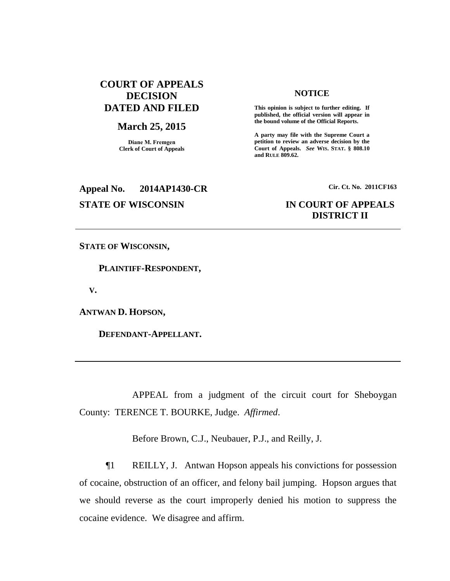# **COURT OF APPEALS DECISION DATED AND FILED**

## **March 25, 2015**

**Diane M. Fremgen Clerk of Court of Appeals**

### **NOTICE**

**This opinion is subject to further editing. If published, the official version will appear in the bound volume of the Official Reports.** 

**A party may file with the Supreme Court a petition to review an adverse decision by the Court of Appeals.** *See* **WIS. STAT. § 808.10 and RULE 809.62.** 

# **Appeal No. 2014AP1430-CR Cir. Ct. No. 2011CF163**

# **STATE OF WISCONSIN IN COURT OF APPEALS DISTRICT II**

**STATE OF WISCONSIN,**

 **PLAINTIFF-RESPONDENT,**

 **V.**

**ANTWAN D. HOPSON,**

 **DEFENDANT-APPELLANT.**

APPEAL from a judgment of the circuit court for Sheboygan County: TERENCE T. BOURKE, Judge. *Affirmed*.

Before Brown, C.J., Neubauer, P.J., and Reilly, J.

¶1 REILLY, J. Antwan Hopson appeals his convictions for possession of cocaine, obstruction of an officer, and felony bail jumping. Hopson argues that we should reverse as the court improperly denied his motion to suppress the cocaine evidence. We disagree and affirm.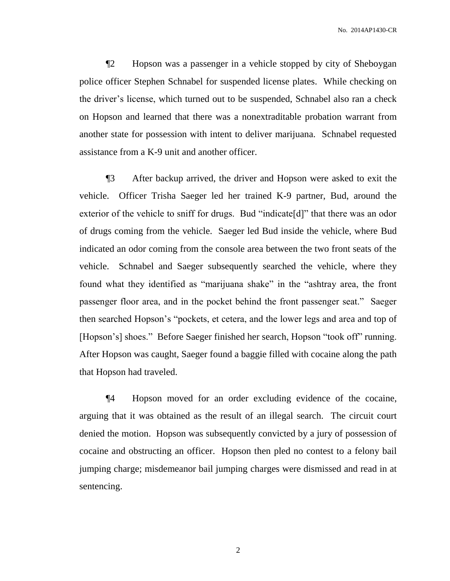No. 2014AP1430-CR

¶2 Hopson was a passenger in a vehicle stopped by city of Sheboygan police officer Stephen Schnabel for suspended license plates. While checking on the driver's license, which turned out to be suspended, Schnabel also ran a check on Hopson and learned that there was a nonextraditable probation warrant from another state for possession with intent to deliver marijuana. Schnabel requested assistance from a K-9 unit and another officer.

¶3 After backup arrived, the driver and Hopson were asked to exit the vehicle. Officer Trisha Saeger led her trained K-9 partner, Bud, around the exterior of the vehicle to sniff for drugs. Bud "indicate[d]" that there was an odor of drugs coming from the vehicle. Saeger led Bud inside the vehicle, where Bud indicated an odor coming from the console area between the two front seats of the vehicle. Schnabel and Saeger subsequently searched the vehicle, where they found what they identified as "marijuana shake" in the "ashtray area, the front passenger floor area, and in the pocket behind the front passenger seat." Saeger then searched Hopson's "pockets, et cetera, and the lower legs and area and top of [Hopson's] shoes." Before Saeger finished her search, Hopson "took off" running. After Hopson was caught, Saeger found a baggie filled with cocaine along the path that Hopson had traveled.

¶4 Hopson moved for an order excluding evidence of the cocaine, arguing that it was obtained as the result of an illegal search. The circuit court denied the motion. Hopson was subsequently convicted by a jury of possession of cocaine and obstructing an officer. Hopson then pled no contest to a felony bail jumping charge; misdemeanor bail jumping charges were dismissed and read in at sentencing.

2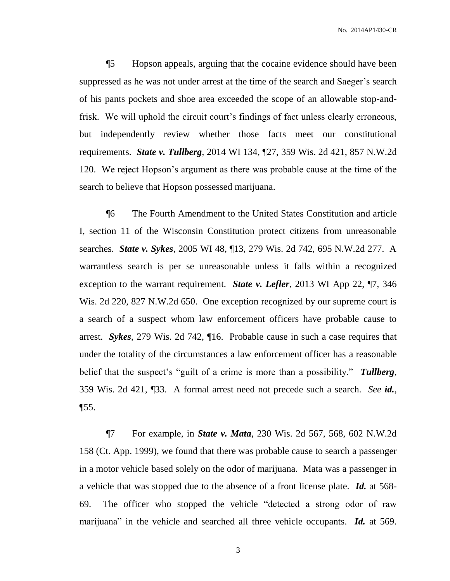No. 2014AP1430-CR

¶5 Hopson appeals, arguing that the cocaine evidence should have been suppressed as he was not under arrest at the time of the search and Saeger's search of his pants pockets and shoe area exceeded the scope of an allowable stop-andfrisk. We will uphold the circuit court's findings of fact unless clearly erroneous, but independently review whether those facts meet our constitutional requirements. *State v. Tullberg*, 2014 WI 134, ¶27, 359 Wis. 2d 421, 857 N.W.2d 120. We reject Hopson's argument as there was probable cause at the time of the search to believe that Hopson possessed marijuana.

¶6 The Fourth Amendment to the United States Constitution and article I, section 11 of the Wisconsin Constitution protect citizens from unreasonable searches. *State v. Sykes*, 2005 WI 48, ¶13, 279 Wis. 2d 742, 695 N.W.2d 277. A warrantless search is per se unreasonable unless it falls within a recognized exception to the warrant requirement. *State v. Lefler*, 2013 WI App 22, ¶7, 346 Wis. 2d 220, 827 N.W.2d 650. One exception recognized by our supreme court is a search of a suspect whom law enforcement officers have probable cause to arrest. *Sykes*, 279 Wis. 2d 742, ¶16. Probable cause in such a case requires that under the totality of the circumstances a law enforcement officer has a reasonable belief that the suspect's "guilt of a crime is more than a possibility." *Tullberg*, 359 Wis. 2d 421, ¶33. A formal arrest need not precede such a search. *See id.*, ¶55.

¶7 For example, in *State v. Mata*, 230 Wis. 2d 567, 568, 602 N.W.2d 158 (Ct. App. 1999), we found that there was probable cause to search a passenger in a motor vehicle based solely on the odor of marijuana. Mata was a passenger in a vehicle that was stopped due to the absence of a front license plate. *Id.* at 568- 69. The officer who stopped the vehicle "detected a strong odor of raw marijuana" in the vehicle and searched all three vehicle occupants. *Id.* at 569.

3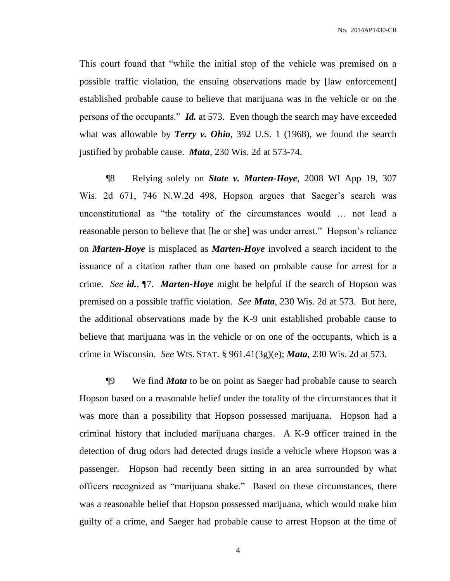No. 2014AP1430-CR

This court found that "while the initial stop of the vehicle was premised on a possible traffic violation, the ensuing observations made by [law enforcement] established probable cause to believe that marijuana was in the vehicle or on the persons of the occupants." *Id.* at 573. Even though the search may have exceeded what was allowable by *Terry v. Ohio*, 392 U.S. 1 (1968), we found the search justified by probable cause. *Mata*, 230 Wis. 2d at 573-74.

¶8 Relying solely on *State v. Marten-Hoye*, 2008 WI App 19, 307 Wis. 2d 671, 746 N.W.2d 498, Hopson argues that Saeger's search was unconstitutional as "the totality of the circumstances would … not lead a reasonable person to believe that [he or she] was under arrest." Hopson's reliance on *Marten-Hoye* is misplaced as *Marten-Hoye* involved a search incident to the issuance of a citation rather than one based on probable cause for arrest for a crime. *See id.*, ¶7. *Marten-Hoye* might be helpful if the search of Hopson was premised on a possible traffic violation. *See Mata*, 230 Wis. 2d at 573. But here, the additional observations made by the K-9 unit established probable cause to believe that marijuana was in the vehicle or on one of the occupants, which is a crime in Wisconsin. *See* WIS. STAT. § 961.41(3g)(e); *Mata*, 230 Wis. 2d at 573.

¶9 We find *Mata* to be on point as Saeger had probable cause to search Hopson based on a reasonable belief under the totality of the circumstances that it was more than a possibility that Hopson possessed marijuana. Hopson had a criminal history that included marijuana charges. A K-9 officer trained in the detection of drug odors had detected drugs inside a vehicle where Hopson was a passenger. Hopson had recently been sitting in an area surrounded by what officers recognized as "marijuana shake." Based on these circumstances, there was a reasonable belief that Hopson possessed marijuana, which would make him guilty of a crime, and Saeger had probable cause to arrest Hopson at the time of

4